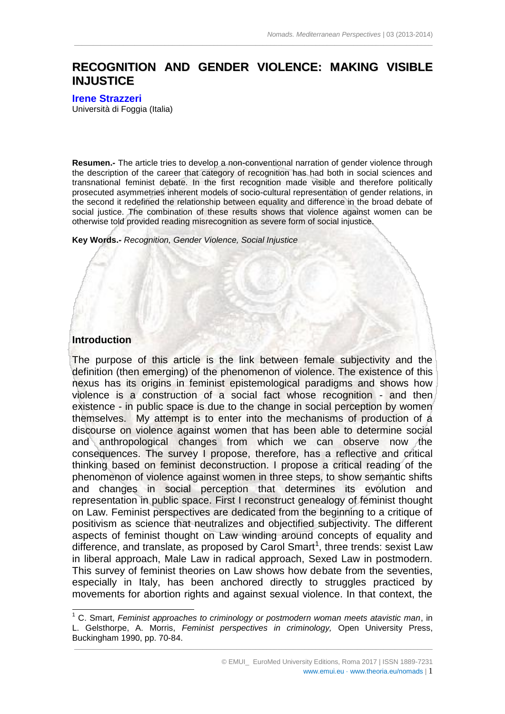# **RECOGNITION AND GENDER VIOLENCE: MAKING VISIBLE INJUSTICE**

 $\_$  ,  $\_$  ,  $\_$  ,  $\_$  ,  $\_$  ,  $\_$  ,  $\_$  ,  $\_$  ,  $\_$  ,  $\_$  ,  $\_$  ,  $\_$  ,  $\_$  ,  $\_$  ,  $\_$  ,  $\_$  ,  $\_$  ,  $\_$  ,  $\_$  ,  $\_$  ,  $\_$  ,  $\_$  ,  $\_$  ,  $\_$  ,  $\_$  ,  $\_$  ,  $\_$  ,  $\_$  ,  $\_$  ,  $\_$  ,  $\_$  ,  $\_$  ,  $\_$  ,  $\_$  ,  $\_$  ,  $\_$  ,  $\_$  ,

#### **[Irene Strazzeri](mailto:irene.strazzeri@unifg.it)**

Università di Foggia (Italia)

**Resumen.-** The article tries to develop a non-conventional narration of gender violence through the description of the career that category of recognition has had both in social sciences and transnational feminist debate. In the first recognition made visible and therefore politically prosecuted asymmetries inherent models of socio-cultural representation of gender relations, in the second it redefined the relationship between equality and difference in the broad debate of social iustice. The combination of these results shows that violence against women can be otherwise told provided reading misrecognition as severe form of social injustice.

**Key Words.-** *Recognition, Gender Violence, Social Injustice* 

#### **Introduction**

 $\overline{a}$ 

The purpose of this article is the link between female subjectivity and the definition (then emerging) of the phenomenon of violence. The existence of this nexus has its origins in feminist epistemological paradigms and shows how violence is a construction of a social fact whose recognition - and then existence - in public space is due to the change in social perception by women themselves. My attempt is to enter into the mechanisms of production of a discourse on violence against women that has been able to determine social and anthropological changes from which we can observe now the consequences. The survey I propose, therefore, has a reflective and critical thinking based on feminist deconstruction. I propose a critical reading of the phenomenon of violence against women in three steps, to show semantic shifts and changes in social perception that determines its evolution and representation in public space. First I reconstruct genealogy of feminist thought on Law. Feminist perspectives are dedicated from the beginning to a critique of positivism as science that neutralizes and objectified subjectivity. The different aspects of feminist thought on Law winding around concepts of equality and difference, and translate, as proposed by Carol Smart<sup>1</sup>, three trends: sexist Law in liberal approach, Male Law in radical approach, Sexed Law in postmodern. This survey of feminist theories on Law shows how debate from the seventies, especially in Italy, has been anchored directly to struggles practiced by movements for abortion rights and against sexual violence. In that context, the

 $\_$  , and the state of the state of the state of the state of the state of the state of the state of the state of the state of the state of the state of the state of the state of the state of the state of the state of the <sup>1</sup> C. Smart, *Feminist approaches to criminology or postmodern woman meets atavistic man*, in L. Gelsthorpe, A. Morris, *Feminist perspectives in criminology,* Open University Press, Buckingham 1990, pp. 70-84.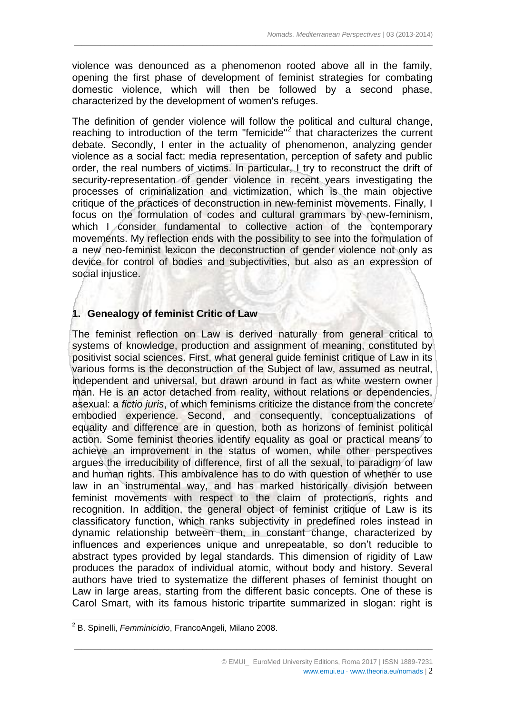violence was denounced as a phenomenon rooted above all in the family, opening the first phase of development of feminist strategies for combating domestic violence, which will then be followed by a second phase, characterized by the development of women's refuges.

 $\_$  ,  $\_$  ,  $\_$  ,  $\_$  ,  $\_$  ,  $\_$  ,  $\_$  ,  $\_$  ,  $\_$  ,  $\_$  ,  $\_$  ,  $\_$  ,  $\_$  ,  $\_$  ,  $\_$  ,  $\_$  ,  $\_$  ,  $\_$  ,  $\_$  ,  $\_$  ,  $\_$  ,  $\_$  ,  $\_$  ,  $\_$  ,  $\_$  ,  $\_$  ,  $\_$  ,  $\_$  ,  $\_$  ,  $\_$  ,  $\_$  ,  $\_$  ,  $\_$  ,  $\_$  ,  $\_$  ,  $\_$  ,  $\_$  ,

The definition of gender violence will follow the political and cultural change, reaching to introduction of the term "femicide"<sup>2</sup> that characterizes the current debate. Secondly, I enter in the actuality of phenomenon, analyzing gender violence as a social fact: media representation, perception of safety and public order, the real numbers of victims. In particular, I try to reconstruct the drift of security-representation of gender violence in recent years investigating the processes of criminalization and victimization, which is the main objective critique of the practices of deconstruction in new-feminist movements. Finally, I focus on the formulation of codes and cultural grammars by new-feminism, which I consider fundamental to collective action of the contemporary movements. My reflection ends with the possibility to see into the formulation of a new neo-feminist lexicon the deconstruction of gender violence not only as device for control of bodies and subjectivities, but also as an expression of social injustice.

## **1. Genealogy of feminist Critic of Law**

The feminist reflection on Law is derived naturally from general critical to systems of knowledge, production and assignment of meaning, constituted by positivist social sciences. First, what general guide feminist critique of Law in its various forms is the deconstruction of the Subject of law, assumed as neutral, independent and universal, but drawn around in fact as white western owner man. He is an actor detached from reality, without relations or dependencies, asexual: a *fictio juris*, of which feminisms criticize the distance from the concrete embodied experience. Second, and consequently, conceptualizations of equality and difference are in question, both as horizons of feminist political action. Some feminist theories identify equality as goal or practical means to achieve an improvement in the status of women, while other perspectives argues the irreducibility of difference, first of all the sexual, to paradigm of law and human rights. This ambivalence has to do with question of whether to use law in an instrumental way, and has marked historically division between feminist movements with respect to the claim of protections, rights and recognition. In addition, the general object of feminist critique of Law is its classificatory function, which ranks subjectivity in predefined roles instead in dynamic relationship between them, in constant change, characterized by influences and experiences unique and unrepeatable, so don't reducible to abstract types provided by legal standards. This dimension of rigidity of Law produces the paradox of individual atomic, without body and history. Several authors have tried to systematize the different phases of feminist thought on Law in large areas, starting from the different basic concepts. One of these is Carol Smart, with its famous historic tripartite summarized in slogan: right is

 $\_$  , and the state of the state of the state of the state of the state of the state of the state of the state of the state of the state of the state of the state of the state of the state of the state of the state of the

-

<sup>2</sup> B. Spinelli, *Femminicidio*, FrancoAngeli, Milano 2008.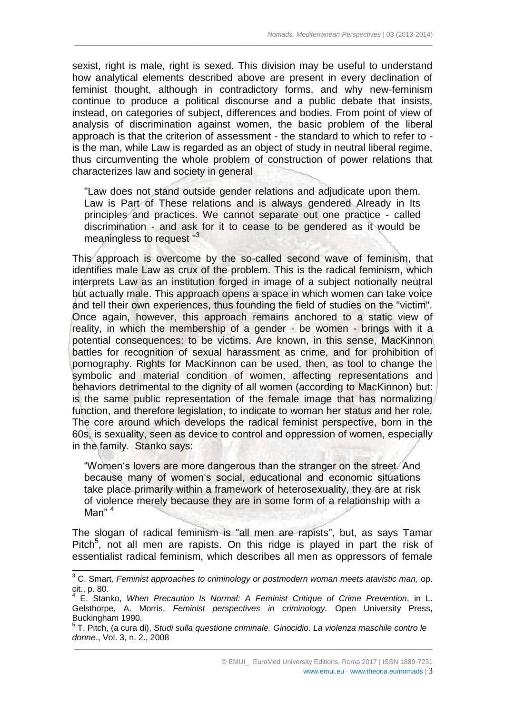sexist, right is male, right is sexed. This division may be useful to understand how analytical elements described above are present in every declination of feminist thought, although in contradictory forms, and why new-feminism continue to produce a political discourse and a public debate that insists, instead, on categories of subject, differences and bodies. From point of view of analysis of discrimination against women, the basic problem of the liberal approach is that the criterion of assessment - the standard to which to refer to is the man, while Law is regarded as an object of study in neutral liberal regime, thus circumventing the whole problem of construction of power relations that characterizes law and society in general

 $\_$  ,  $\_$  ,  $\_$  ,  $\_$  ,  $\_$  ,  $\_$  ,  $\_$  ,  $\_$  ,  $\_$  ,  $\_$  ,  $\_$  ,  $\_$  ,  $\_$  ,  $\_$  ,  $\_$  ,  $\_$  ,  $\_$  ,  $\_$  ,  $\_$  ,  $\_$  ,  $\_$  ,  $\_$  ,  $\_$  ,  $\_$  ,  $\_$  ,  $\_$  ,  $\_$  ,  $\_$  ,  $\_$  ,  $\_$  ,  $\_$  ,  $\_$  ,  $\_$  ,  $\_$  ,  $\_$  ,  $\_$  ,  $\_$  ,

"Law does not stand outside gender relations and adjudicate upon them. Law is Part of These relations and is always gendered Already in Its principles and practices. We cannot separate out one practice - called discrimination - and ask for it to cease to be gendered as it would be meaningless to request "<sup>3</sup>

This approach is overcome by the so-called second wave of feminism, that identifies male Law as crux of the problem. This is the radical feminism, which interprets Law as an institution forged in image of a subject notionally neutral but actually male. This approach opens a space in which women can take voice and tell their own experiences, thus founding the field of studies on the "victim". Once again, however, this approach remains anchored to a static view of reality, in which the membership of a gender - be women - brings with it a potential consequences: to be victims. Are known, in this sense, MacKinnon battles for recognition of sexual harassment as crime, and for prohibition of pornography. Rights for MacKinnon can be used, then, as tool to change the symbolic and material condition of women, affecting representations and behaviors detrimental to the dignity of all women (according to MacKinnon) but: is the same public representation of the female image that has normalizing function, and therefore legislation, to indicate to woman her status and her role. The core around which develops the radical feminist perspective, born in the 60s, is sexuality, seen as device to control and oppression of women, especially in the family. Stanko says:

"Women's lovers are more dangerous than the stranger on the street. And because many of women's social, educational and economic situations take place primarily within a framework of heterosexuality, they are at risk of violence merely because they are in some form of a relationship with a Man" $4$ 

The slogan of radical feminism is "all men are rapists", but, as says Tamar Pitch<sup>5</sup>, not all men are rapists. On this ridge is played in part the risk of essentialist radical feminism, which describes all men as oppressors of female

-

<sup>3</sup> C. Smart*, Feminist approaches to criminology or postmodern woman meets atavistic man,* op. cit., p. 80.

<sup>4</sup> E. Stanko, *When Precaution Is Normal: A Feminist Critique of Crime Prevention*, in L. Gelsthorpe, A. Morris, *Feminist perspectives in criminology.* Open University Press, Buckingham 1990.

 $\_$  , and the state of the state of the state of the state of the state of the state of the state of the state of the state of the state of the state of the state of the state of the state of the state of the state of the 5 T. Pitch, (a cura di), *Studi sulla questione criminale. Ginocidio. La violenza maschile contro le donne*., Vol. 3, n. 2., 2008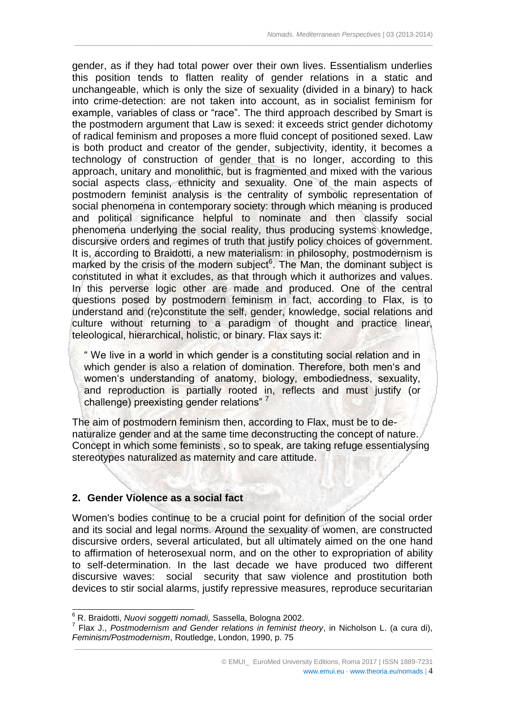gender, as if they had total power over their own lives. Essentialism underlies this position tends to flatten reality of gender relations in a static and unchangeable, which is only the size of sexuality (divided in a binary) to hack into crime-detection: are not taken into account, as in socialist feminism for example, variables of class or "race". The third approach described by Smart is the postmodern argument that Law is sexed: it exceeds strict gender dichotomy of radical feminism and proposes a more fluid concept of positioned sexed. Law is both product and creator of the gender, subjectivity, identity, it becomes a technology of construction of gender that is no longer, according to this approach, unitary and monolithic, but is fragmented and mixed with the various social aspects class, ethnicity and sexuality. One of the main aspects of postmodern feminist analysis is the centrality of symbolic representation of social phenomena in contemporary society: through which meaning is produced and political significance helpful to nominate and then classify social phenomena underlying the social reality, thus producing systems knowledge, discursive orders and regimes of truth that justify policy choices of government. It is, according to Braidotti, a new materialism: in philosophy, postmodernism is marked by the crisis of the modern subject $6$ . The Man, the dominant subject is constituted in what it excludes, as that through which it authorizes and values. In this perverse logic other are made and produced. One of the central questions posed by postmodern feminism in fact, according to Flax, is to understand and (re)constitute the self, gender, knowledge, social relations and culture without returning to a paradigm of thought and practice linear, teleological, hierarchical, holistic, or binary. Flax says it:

 $\_$  ,  $\_$  ,  $\_$  ,  $\_$  ,  $\_$  ,  $\_$  ,  $\_$  ,  $\_$  ,  $\_$  ,  $\_$  ,  $\_$  ,  $\_$  ,  $\_$  ,  $\_$  ,  $\_$  ,  $\_$  ,  $\_$  ,  $\_$  ,  $\_$  ,  $\_$  ,  $\_$  ,  $\_$  ,  $\_$  ,  $\_$  ,  $\_$  ,  $\_$  ,  $\_$  ,  $\_$  ,  $\_$  ,  $\_$  ,  $\_$  ,  $\_$  ,  $\_$  ,  $\_$  ,  $\_$  ,  $\_$  ,  $\_$  ,

" We live in a world in which gender is a constituting social relation and in which gender is also a relation of domination. Therefore, both men's and women's understanding of anatomy, biology, embodiedness, sexuality, and reproduction is partially rooted in, reflects and must justify (or challenge) preexisting gender relations"

The aim of postmodern feminism then, according to Flax, must be to denaturalize gender and at the same time deconstructing the concept of nature. Concept in which some feminists , so to speak, are taking refuge essentialysing stereotypes naturalized as maternity and care attitude.

## **2. Gender Violence as a social fact**

 $\overline{a}$ 

Women's bodies continue to be a crucial point for definition of the social order and its social and legal norms. Around the sexuality of women, are constructed discursive orders, several articulated, but all ultimately aimed on the one hand to affirmation of heterosexual norm, and on the other to expropriation of ability to self-determination. In the last decade we have produced two different discursive waves: social security that saw violence and prostitution both devices to stir social alarms, justify repressive measures, reproduce securitarian

<sup>6</sup> R. Braidotti, *Nuovi soggetti nomadi,* Sassella, Bologna 2002.

 $\_$  , and the state of the state of the state of the state of the state of the state of the state of the state of the state of the state of the state of the state of the state of the state of the state of the state of the 7 Flax J., *Postmodernism and Gender relations in feminist theory*, in Nicholson L. (a cura di), *Feminism/Postmodernism*, Routledge, London, 1990, p. 75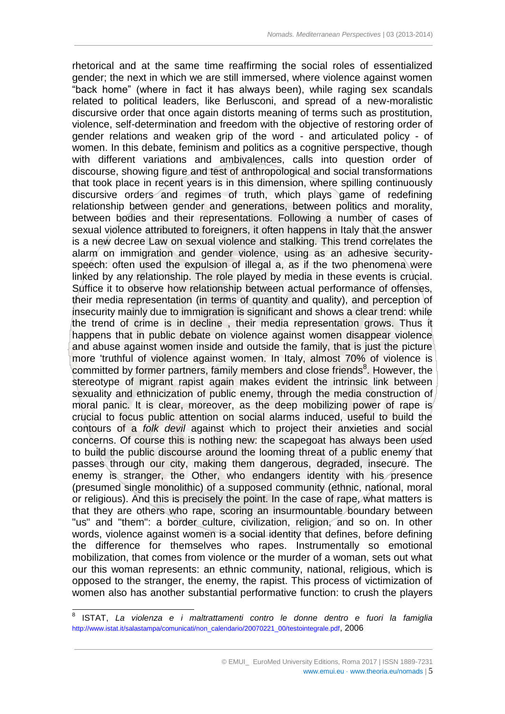rhetorical and at the same time reaffirming the social roles of essentialized gender; the next in which we are still immersed, where violence against women "back home" (where in fact it has always been), while raging sex scandals related to political leaders, like Berlusconi, and spread of a new-moralistic discursive order that once again distorts meaning of terms such as prostitution, violence, self-determination and freedom with the objective of restoring order of gender relations and weaken grip of the word - and articulated policy - of women. In this debate, feminism and politics as a cognitive perspective, though with different variations and ambivalences, calls into question order of discourse, showing figure and test of anthropological and social transformations that took place in recent years is in this dimension, where spilling continuously discursive orders and regimes of truth, which plays game of redefining relationship between gender and generations, between politics and morality, between bodies and their representations. Following a number of cases of sexual violence attributed to foreigners, it often happens in Italy that the answer is a new decree Law on sexual violence and stalking. This trend correlates the alarm on immigration and gender violence, using as an adhesive securityspeech: often used the expulsion of illegal a, as if the two phenomena were linked by any relationship. The role played by media in these events is crucial. Suffice it to observe how relationship between actual performance of offenses, their media representation (in terms of quantity and quality), and perception of insecurity mainly due to immigration is significant and shows a clear trend: while the trend of crime is in decline , their media representation grows. Thus it happens that in public debate on violence against women disappear violence and abuse against women inside and outside the family, that is just the picture more 'truthful of violence against women. In Italy, almost 70% of violence is committed by former partners, family members and close friends<sup>8</sup>. However, the stereotype of migrant rapist again makes evident the intrinsic link between sexuality and ethnicization of public enemy, through the media construction of moral panic. It is clear, moreover, as the deep mobilizing power of rape is crucial to focus public attention on social alarms induced, useful to build the contours of a *folk devil* against which to project their anxieties and social concerns. Of course this is nothing new: the scapegoat has always been used to build the public discourse around the looming threat of a public enemy that passes through our city, making them dangerous, degraded, insecure. The enemy is stranger, the Other, who endangers identity with his presence (presumed single monolithic) of a supposed community (ethnic, national, moral or religious). And this is precisely the point. In the case of rape, what matters is that they are others who rape, scoring an insurmountable boundary between "us" and "them": a border culture, civilization, religion, and so on. In other words, violence against women is a social identity that defines, before defining the difference for themselves who rapes. Instrumentally so emotional mobilization, that comes from violence or the murder of a woman, sets out what our this woman represents: an ethnic community, national, religious, which is opposed to the stranger, the enemy, the rapist. This process of victimization of women also has another substantial performative function: to crush the players

 $\_$  ,  $\_$  ,  $\_$  ,  $\_$  ,  $\_$  ,  $\_$  ,  $\_$  ,  $\_$  ,  $\_$  ,  $\_$  ,  $\_$  ,  $\_$  ,  $\_$  ,  $\_$  ,  $\_$  ,  $\_$  ,  $\_$  ,  $\_$  ,  $\_$  ,  $\_$  ,  $\_$  ,  $\_$  ,  $\_$  ,  $\_$  ,  $\_$  ,  $\_$  ,  $\_$  ,  $\_$  ,  $\_$  ,  $\_$  ,  $\_$  ,  $\_$  ,  $\_$  ,  $\_$  ,  $\_$  ,  $\_$  ,  $\_$  ,

 $\frac{1}{8}$ ISTAT, *La violenza e i maltrattamenti contro le donne dentro e fuori la famiglia*  [http://www.istat.it/salastampa/comunicati/non\\_calendario/20070221\\_00/testointegrale.pdf](http://www.istat.it/salastampa/comunicati/non_calendario/20070221_00/testointegrale.pdf), 2006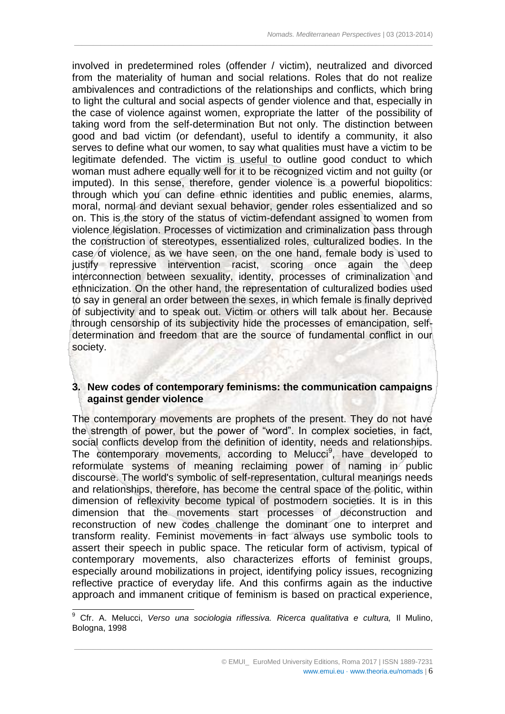involved in predetermined roles (offender / victim), neutralized and divorced from the materiality of human and social relations. Roles that do not realize ambivalences and contradictions of the relationships and conflicts, which bring to light the cultural and social aspects of gender violence and that, especially in the case of violence against women, expropriate the latter of the possibility of taking word from the self-determination But not only. The distinction between good and bad victim (or defendant), useful to identify a community, it also serves to define what our women, to say what qualities must have a victim to be legitimate defended. The victim is useful to outline good conduct to which woman must adhere equally well for it to be recognized victim and not guilty (or imputed). In this sense, therefore, gender violence is a powerful biopolitics: through which you can define ethnic identities and public enemies, alarms, moral, normal and deviant sexual behavior, gender roles essentialized and so on. This is the story of the status of victim-defendant assigned to women from violence legislation. Processes of victimization and criminalization pass through the construction of stereotypes, essentialized roles, culturalized bodies. In the case of violence, as we have seen, on the one hand, female body is used to justify repressive intervention racist, scoring once again the deep interconnection between sexuality, identity, processes of criminalization and ethnicization. On the other hand, the representation of culturalized bodies used to say in general an order between the sexes, in which female is finally deprived of subjectivity and to speak out. Victim or others will talk about her. Because through censorship of its subjectivity hide the processes of emancipation, selfdetermination and freedom that are the source of fundamental conflict in our society.

 $\_$  ,  $\_$  ,  $\_$  ,  $\_$  ,  $\_$  ,  $\_$  ,  $\_$  ,  $\_$  ,  $\_$  ,  $\_$  ,  $\_$  ,  $\_$  ,  $\_$  ,  $\_$  ,  $\_$  ,  $\_$  ,  $\_$  ,  $\_$  ,  $\_$  ,  $\_$  ,  $\_$  ,  $\_$  ,  $\_$  ,  $\_$  ,  $\_$  ,  $\_$  ,  $\_$  ,  $\_$  ,  $\_$  ,  $\_$  ,  $\_$  ,  $\_$  ,  $\_$  ,  $\_$  ,  $\_$  ,  $\_$  ,  $\_$  ,

## **3. New codes of contemporary feminisms: the communication campaigns against gender violence**

The contemporary movements are prophets of the present. They do not have the strength of power, but the power of "word". In complex societies, in fact, social conflicts develop from the definition of identity, needs and relationships. The contemporary movements, according to Melucci<sup>9</sup>, have developed to reformulate systems of meaning reclaiming power of naming in public discourse. The world's symbolic of self-representation, cultural meanings needs and relationships, therefore, has become the central space of the politic, within dimension of reflexivity become typical of postmodern societies. It is in this dimension that the movements start processes of deconstruction and reconstruction of new codes challenge the dominant one to interpret and transform reality. Feminist movements in fact always use symbolic tools to assert their speech in public space. The reticular form of activism, typical of contemporary movements, also characterizes efforts of feminist groups, especially around mobilizations in project, identifying policy issues, recognizing reflective practice of everyday life. And this confirms again as the inductive approach and immanent critique of feminism is based on practical experience,

 $\overline{a}$ 

<sup>&</sup>lt;sup>9</sup> Cfr. A. Melucci, *Verso una sociologia riflessiva. Ricerca qualitativa e cultura,* Il Mulino, Bologna, 1998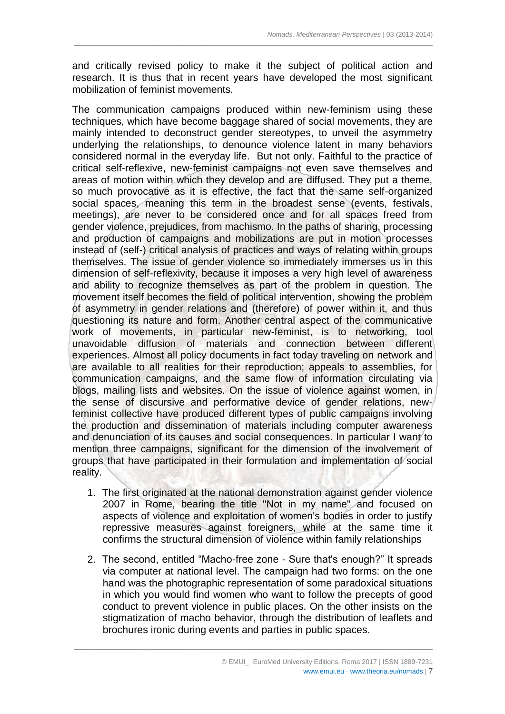and critically revised policy to make it the subject of political action and research. It is thus that in recent years have developed the most significant mobilization of feminist movements.

 $\_$  ,  $\_$  ,  $\_$  ,  $\_$  ,  $\_$  ,  $\_$  ,  $\_$  ,  $\_$  ,  $\_$  ,  $\_$  ,  $\_$  ,  $\_$  ,  $\_$  ,  $\_$  ,  $\_$  ,  $\_$  ,  $\_$  ,  $\_$  ,  $\_$  ,  $\_$  ,  $\_$  ,  $\_$  ,  $\_$  ,  $\_$  ,  $\_$  ,  $\_$  ,  $\_$  ,  $\_$  ,  $\_$  ,  $\_$  ,  $\_$  ,  $\_$  ,  $\_$  ,  $\_$  ,  $\_$  ,  $\_$  ,  $\_$  ,

The communication campaigns produced within new-feminism using these techniques, which have become baggage shared of social movements, they are mainly intended to deconstruct gender stereotypes, to unveil the asymmetry underlying the relationships, to denounce violence latent in many behaviors considered normal in the everyday life. But not only. Faithful to the practice of critical self-reflexive, new-feminist campaigns not even save themselves and areas of motion within which they develop and are diffused. They put a theme, so much provocative as it is effective, the fact that the same self-organized social spaces, meaning this term in the broadest sense (events, festivals, meetings), are never to be considered once and for all spaces freed from gender violence, prejudices, from machismo. In the paths of sharing, processing and production of campaigns and mobilizations are put in motion processes instead of (self-) critical analysis of practices and ways of relating within groups themselves. The issue of gender violence so immediately immerses us in this dimension of self-reflexivity, because it imposes a very high level of awareness and ability to recognize themselves as part of the problem in question. The movement itself becomes the field of political intervention, showing the problem of asymmetry in gender relations and (therefore) of power within it, and thus questioning its nature and form. Another central aspect of the communicative work of movements, in particular new-feminist, is to networking, tool unavoidable diffusion of materials and connection between different experiences. Almost all policy documents in fact today traveling on network and are available to all realities for their reproduction; appeals to assemblies, for communication campaigns, and the same flow of information circulating via blogs, mailing lists and websites. On the issue of violence against women, in the sense of discursive and performative device of gender relations, newfeminist collective have produced different types of public campaigns involving the production and dissemination of materials including computer awareness and denunciation of its causes and social consequences. In particular I want to mention three campaigns, significant for the dimension of the involvement of groups that have participated in their formulation and implementation of social reality.

- 1. The first originated at the national demonstration against gender violence 2007 in Rome, bearing the title "Not in my name" and focused on aspects of violence and exploitation of women's bodies in order to justify repressive measures against foreigners, while at the same time it confirms the structural dimension of violence within family relationships
- 2. The second, entitled "Macho-free zone Sure that's enough?" It spreads via computer at national level. The campaign had two forms: on the one hand was the photographic representation of some paradoxical situations in which you would find women who want to follow the precepts of good conduct to prevent violence in public places. On the other insists on the stigmatization of macho behavior, through the distribution of leaflets and brochures ironic during events and parties in public spaces.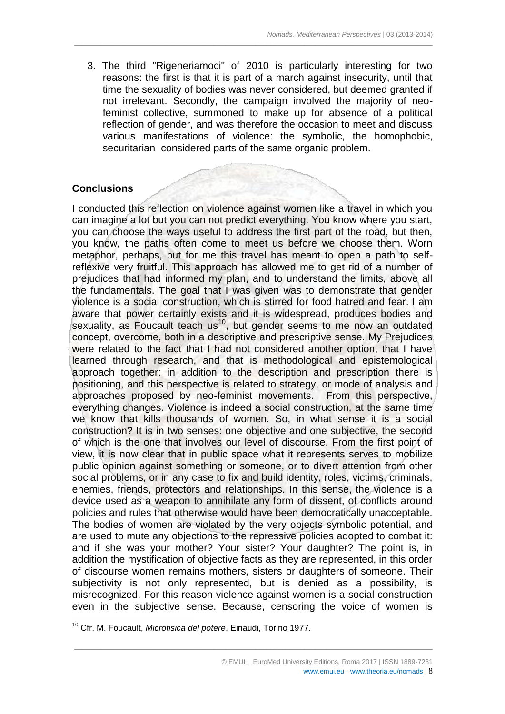3. The third "Rigeneriamoci" of 2010 is particularly interesting for two reasons: the first is that it is part of a march against insecurity, until that time the sexuality of bodies was never considered, but deemed granted if not irrelevant. Secondly, the campaign involved the majority of neofeminist collective, summoned to make up for absence of a political reflection of gender, and was therefore the occasion to meet and discuss various manifestations of violence: the symbolic, the homophobic, securitarian considered parts of the same organic problem.

 $\_$  ,  $\_$  ,  $\_$  ,  $\_$  ,  $\_$  ,  $\_$  ,  $\_$  ,  $\_$  ,  $\_$  ,  $\_$  ,  $\_$  ,  $\_$  ,  $\_$  ,  $\_$  ,  $\_$  ,  $\_$  ,  $\_$  ,  $\_$  ,  $\_$  ,  $\_$  ,  $\_$  ,  $\_$  ,  $\_$  ,  $\_$  ,  $\_$  ,  $\_$  ,  $\_$  ,  $\_$  ,  $\_$  ,  $\_$  ,  $\_$  ,  $\_$  ,  $\_$  ,  $\_$  ,  $\_$  ,  $\_$  ,  $\_$  ,

# **Conclusions**

-

I conducted this reflection on violence against women like a travel in which you can imagine a lot but you can not predict everything. You know where you start, you can choose the ways useful to address the first part of the road, but then, you know, the paths often come to meet us before we choose them. Worn metaphor, perhaps, but for me this travel has meant to open a path to selfreflexive very fruitful. This approach has allowed me to get rid of a number of prejudices that had informed my plan, and to understand the limits, above all the fundamentals. The goal that I was given was to demonstrate that gender violence is a social construction, which is stirred for food hatred and fear. I am aware that power certainly exists and it is widespread, produces bodies and sexuality, as Foucault teach  $us<sup>10</sup>$ , but gender seems to me now an outdated concept, overcome, both in a descriptive and prescriptive sense. My Prejudices were related to the fact that I had not considered another option, that I have learned through research, and that is methodological and epistemological approach together: in addition to the description and prescription there is positioning, and this perspective is related to strategy, or mode of analysis and approaches proposed by neo-feminist movements. From this perspective, everything changes. Violence is indeed a social construction, at the same time we know that kills thousands of women. So, in what sense it is a social construction? It is in two senses: one objective and one subjective, the second of which is the one that involves our level of discourse. From the first point of view, it is now clear that in public space what it represents serves to mobilize public opinion against something or someone, or to divert attention from other social problems, or in any case to fix and build identity, roles, victims, criminals, enemies, friends, protectors and relationships. In this sense, the violence is a device used as a weapon to annihilate any form of dissent, of conflicts around policies and rules that otherwise would have been democratically unacceptable. The bodies of women are violated by the very objects symbolic potential, and are used to mute any objections to the repressive policies adopted to combat it: and if she was your mother? Your sister? Your daughter? The point is, in addition the mystification of objective facts as they are represented, in this order of discourse women remains mothers, sisters or daughters of someone. Their subjectivity is not only represented, but is denied as a possibility, is misrecognized. For this reason violence against women is a social construction even in the subjective sense. Because, censoring the voice of women is

<sup>10</sup> Cfr. M. Foucault, *Microfisica del potere*, Einaudi, Torino 1977.